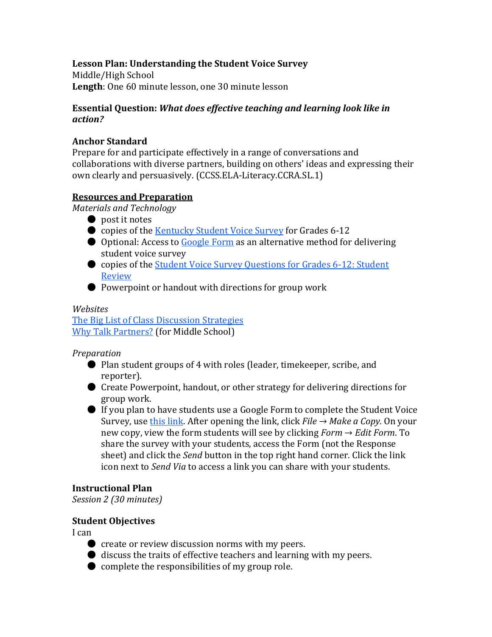## **Lesson Plan: Understanding the Student Voice Survey**

Middle/High School **Length**: One 60 minute lesson, one 30 minute lesson

### **Essential Question:** *What does effective teaching and learning look like in action?*

### **Anchor Standard**

Prepare for and participate effectively in a range of conversations and collaborations with diverse partners, building on others' ideas and expressing their own clearly and persuasively. (CCSS.ELA-Literacy.CCRA.SL.1)

## **Resources and Preparation**

*Materials and Technology* 

- post it notes
- copies of the [Kentucky Student Voice Survey](http://education.ky.gov/teachers/PGES/Documents/SV%20Survey%20Questions%206-12.pdf) for Grades 6-12
- Optional: Access to [Google Form a](https://docs.google.com/spreadsheets/d/1GtH1u-xuSnYgxCHOHIlDPnPlDiT96MJCNCRQn3KmJT0/edit?usp=sharing)s an alternative method for delivering student voice survey
- Review ● copies of the Student Voice Survey Questions for Grades 6-12: Student
- Powerpoint or handout with directions for group work

#### *Websites*

[The Big List of Class Discussion Strategies](http://www.cultofpedagogy.com/speaking-listening-techniques/) [Why Talk Partners?](http://education.ky.gov/educational/rta/documents/rtatalkpartners.pdf) (for Middle School)

#### *Preparation*

- ● Plan student groups of 4 with roles (leader, timekeeper, scribe, and reporter).
- Create Powerpoint, handout, or other strategy for delivering directions for group work.
- Survey, use [this link.](https://docs.google.com/spreadsheets/d/1GtH1u-xuSnYgxCHOHIlDPnPlDiT96MJCNCRQn3KmJT0/edit?usp=sharing) After opening the link, click *File* → *Make a Copy.* On your ● If you plan to have students use a Google Form to complete the Student Voice new copy, view the form students will see by clicking *Form* → *Edit Form*. To share the survey with your students, access the Form (not the Response sheet) and click the *Send* button in the top right hand corner. Click the link icon next to *Send Via* to access a link you can share with your students.

#### **Instructional Plan**

*Session 2 (30 minutes)* 

#### **Student Objectives**

I can

- create or review discussion norms with my peers.
- discuss the traits of effective teachers and learning with my peers.
- $\bullet$  complete the responsibilities of my group role.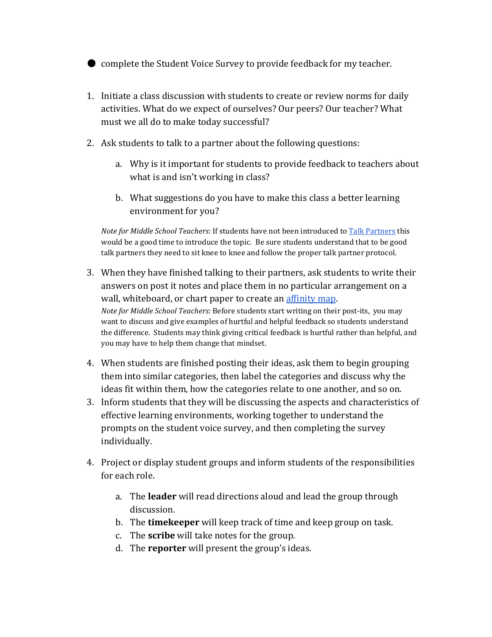● complete the Student Voice Survey to provide feedback for my teacher.

- 1. Initiate a class discussion with students to create or review norms for daily activities. What do we expect of ourselves? Our peers? Our teacher? What must we all do to make today successful?
- 2. Ask students to talk to a partner about the following questions:
	- a. Why is it important for students to provide feedback to teachers about what is and isn't working in class?
	- b. What suggestions do you have to make this class a better learning environment for you?

*Note for Middle School Teachers:* If students have not been introduced t[o Talk Partners t](http://education.ky.gov/educational/rta/documents/rtatalkpartners.pdf)his would be a good time to introduce the topic. Be sure students understand that to be good talk partners they need to sit knee to knee and follow the proper talk partner protocol.

- *Note for Middle School Teachers:* Before students start writing on their post-its, you may 3. When they have finished talking to their partners, ask students to write their answers on post it notes and place them in no particular arrangement on a wall, whiteboard, or chart paper to create an [affinity map.](http://www.cultofpedagogy.com/speaking-listening-techniques/) want to discuss and give examples of hurtful and helpful feedback so students understand the difference. Students may think giving critical feedback is hurtful rather than helpful, and you may have to help them change that mindset.
- 4. When students are finished posting their ideas, ask them to begin grouping them into similar categories, then label the categories and discuss why the ideas fit within them, how the categories relate to one another, and so on.
- 3. Inform students that they will be discussing the aspects and characteristics of effective learning environments, working together to understand the prompts on the student voice survey, and then completing the survey individually.
- 4. Project or display student groups and inform students of the responsibilities for each role.
	- discussion. a. The **leader** will read directions aloud and lead the group through
	- b. The **timekeeper** will keep track of time and keep group on task.
	- c. The **scribe** will take notes for the group.
	- d. The **reporter** will present the group's ideas.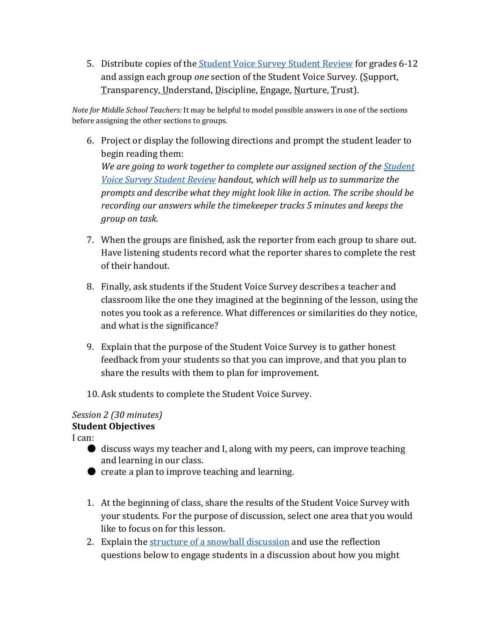<u>T</u>ransparency<u>, U</u>nderstand, <u>D</u>iscipline, <u>E</u>ngage, <u>N</u>urture, <u>T</u>rust). 5. Distribute copies of th[e Student Voice Survey Student Review](https://drive.google.com/drive/folders/0B8XNLJ-E6AlMSlBUTGpnZjFlUVU) for grades 6-12 and assign each group *one* section of the Student Voice Survey. (Support,

*Note for Middle School Teachers:* It may be helpful to model possible answers in one of the sections before assigning the other sections to groups.

- 6. Project or display the following directions and prompt the student leader to begin reading them: *We are going to work together to complete our assigned section of theStudent [Voice Survey Student Review](https://drive.google.com/drive/folders/0B8XNLJ-E6AlMSlBUTGpnZjFlUVU) handout, which will help us to summarize the prompts and describe what they might look like in action. The scribe should be recording our answers while the timekeeper tracks 5 minutes and keeps the group on task.*
- Have listening students record what the reporter shares to complete the rest 7. When the groups are finished, ask the reporter from each group to share out. of their handout.
- notes you took as a reference. What differences or similarities do they notice, 8. Finally, ask students if the Student Voice Survey describes a teacher and classroom like the one they imagined at the beginning of the lesson, using the and what is the significance?
- 9. Explain that the purpose of the Student Voice Survey is to gather honest feedback from your students so that you can improve, and that you plan to share the results with them to plan for improvement.
- 10. Ask students to complete the Student Voice Survey.

#### *Session 2 (30 minutes)*  **Student Objectives**

I can:

- discuss ways my teacher and I, along with my peers, can improve teaching and learning in our class.
- create a plan to improve teaching and learning.
- 1. At the beginning of class, share the results of the Student Voice Survey with your students. For the purpose of discussion, select one area that you would like to focus on for this lesson.
- 2. Explain the [structure of a snowball discussion](http://www.cultofpedagogy.com/speaking-listening-techniques/) and use the reflection questions below to engage students in a discussion about how you might